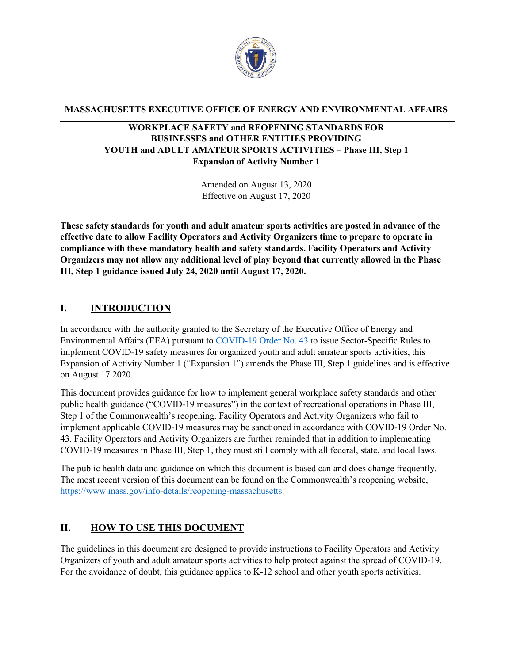

**MASSACHUSETTS EXECUTIVE OFFICE OF ENERGY AND ENVIRONMENTAL AFFAIRS**

## **WORKPLACE SAFETY and REOPENING STANDARDS FOR BUSINESSES and OTHER ENTITIES PROVIDING YOUTH and ADULT AMATEUR SPORTS ACTIVITIES – Phase III, Step 1 Expansion of Activity Number 1**

Amended on August 13, 2020 Effective on August 17, 2020

**These safety standards for youth and adult amateur sports activities are posted in advance of the effective date to allow Facility Operators and Activity Organizers time to prepare to operate in compliance with these mandatory health and safety standards. Facility Operators and Activity Organizers may not allow any additional level of play beyond that currently allowed in the Phase III, Step 1 guidance issued July 24, 2020 until August 17, 2020.**

## **I. INTRODUCTION**

In accordance with the authority granted to the Secretary of the Executive Office of Energy and Environmental Affairs (EEA) pursuant to [COVID-19 Order No. 43](https://www.mass.gov/doc/june-6-2020-phase-ii-reopening/download) to issue Sector-Specific Rules to implement COVID-19 safety measures for organized youth and adult amateur sports activities, this Expansion of Activity Number 1 ("Expansion 1") amends the Phase III, Step 1 guidelines and is effective on August 17 2020.

This document provides guidance for how to implement general workplace safety standards and other public health guidance ("COVID-19 measures") in the context of recreational operations in Phase III, Step 1 of the Commonwealth's reopening. Facility Operators and Activity Organizers who fail to implement applicable COVID-19 measures may be sanctioned in accordance with COVID-19 Order No. 43. Facility Operators and Activity Organizers are further reminded that in addition to implementing COVID-19 measures in Phase III, Step 1, they must still comply with all federal, state, and local laws.

The public health data and guidance on which this document is based can and does change frequently. The most recent version of this document can be found on the Commonwealth's reopening website, [https://www.mass.gov/info-details/reopening-massachusetts.](https://www.mass.gov/info-details/reopening-massachusetts)

## **II. HOW TO USE THIS DOCUMENT**

The guidelines in this document are designed to provide instructions to Facility Operators and Activity Organizers of youth and adult amateur sports activities to help protect against the spread of COVID-19. For the avoidance of doubt, this guidance applies to K-12 school and other youth sports activities.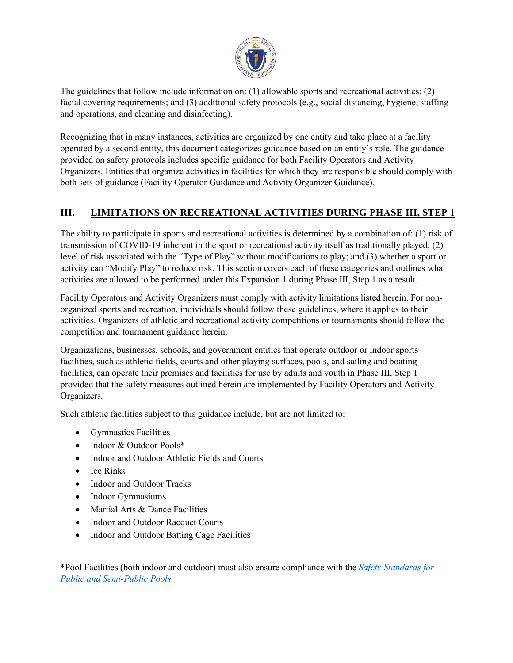

The guidelines that follow include information on: (1) allowable sports and recreational activities; (2) facial covering requirements; and (3) additional safety protocols (e.g., social distancing, hygiene, staffing and operations, and cleaning and disinfecting).

Recognizing that in many instances, activities are organized by one entity and take place at a facility operated by a second entity, this document categorizes guidance based on an entity's role. The guidance provided on safety protocols includes specific guidance for both Facility Operators and Activity Organizers. Entities that organize activities in facilities for which they are responsible should comply with both sets of guidance (Facility Operator Guidance and Activity Organizer Guidance).

# **III. LIMITATIONS ON RECREATIONAL ACTIVITIES DURING PHASE III, STEP 1**

The ability to participate in sports and recreational activities is determined by a combination of: (1) risk of transmission of COVID-19 inherent in the sport or recreational activity itself as traditionally played; (2) level of risk associated with the "Type of Play" without modifications to play; and (3) whether a sport or activity can "Modify Play" to reduce risk. This section covers each of these categories and outlines what activities are allowed to be performed under this Expansion 1 during Phase III, Step 1 as a result.

Facility Operators and Activity Organizers must comply with activity limitations listed herein. For nonorganized sports and recreation, individuals should follow these guidelines, where it applies to their activities. Organizers of athletic and recreational activity competitions or tournaments should follow the competition and tournament guidance herein.

Organizations, businesses, schools, and government entities that operate outdoor or indoor sports facilities, such as athletic fields, courts and other playing surfaces, pools, and sailing and boating facilities, can operate their premises and facilities for use by adults and youth in Phase III, Step 1 provided that the safety measures outlined herein are implemented by Facility Operators and Activity Organizers.

Such athletic facilities subject to this guidance include, but are not limited to:

- Gymnastics Facilities
- Indoor & Outdoor Pools\*
- Indoor and Outdoor Athletic Fields and Courts
- Ice Rinks
- Indoor and Outdoor Tracks
- Indoor Gymnasiums
- Martial Arts & Dance Facilities
- Indoor and Outdoor Racquet Courts
- Indoor and Outdoor Batting Cage Facilities

\*Pool Facilities (both indoor and outdoor) must also ensure compliance with the *[Safety Standards for](https://www.mass.gov/doc/safety-standards-for-public-and-semi-public-swimming-pools/download)  [Public and Semi-Public Pools.](https://www.mass.gov/doc/safety-standards-for-public-and-semi-public-swimming-pools/download)*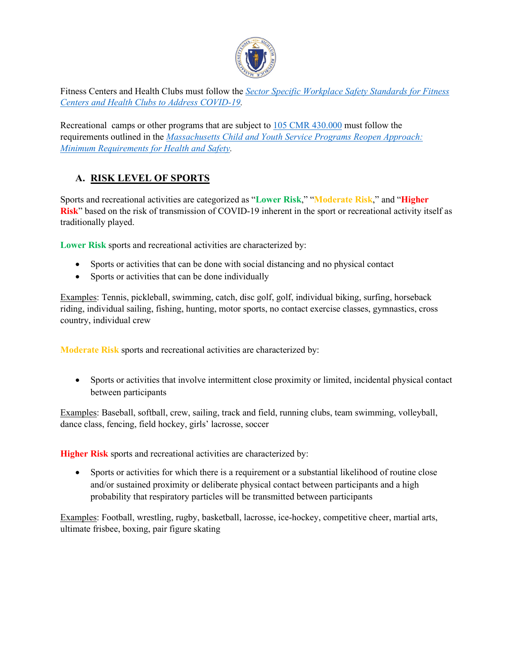

Fitness Centers and Health Clubs must follow the *[Sector Specific Workplace Safety Standards for Fitness](https://www.mass.gov/info-details/safety-standards-and-checklist-fitness-centers-and-health-clubs)  [Centers and Health Clubs to Address COVID-19.](https://www.mass.gov/info-details/safety-standards-and-checklist-fitness-centers-and-health-clubs)*

Recreational camps or other programs that are subject to [105 CMR 430.000](https://www.mass.gov/doc/105-cmr-430-minimum-standards-for-recreational-camps-for-children-state-sanitary-code-chapter/download) must follow the requirements outlined in the *[Massachusetts Child and Youth Service Programs Reopen Approach:](https://eeclead.force.com/resource/1592325278000/Min_Req)  [Minimum Requirements for Health and Safety.](https://eeclead.force.com/resource/1592325278000/Min_Req)* 

# **A. RISK LEVEL OF SPORTS**

Sports and recreational activities are categorized as "**Lower Risk**," "**Moderate Risk**," and "**Higher Risk**" based on the risk of transmission of COVID-19 inherent in the sport or recreational activity itself as traditionally played.

**Lower Risk** sports and recreational activities are characterized by:

- Sports or activities that can be done with social distancing and no physical contact
- Sports or activities that can be done individually

Examples: Tennis, pickleball, swimming, catch, disc golf, golf, individual biking, surfing, horseback riding, individual sailing, fishing, hunting, motor sports, no contact exercise classes, gymnastics, cross country, individual crew

**Moderate Risk** sports and recreational activities are characterized by:

• Sports or activities that involve intermittent close proximity or limited, incidental physical contact between participants

Examples: Baseball, softball, crew, sailing, track and field, running clubs, team swimming, volleyball, dance class, fencing, field hockey, girls' lacrosse, soccer

**Higher Risk** sports and recreational activities are characterized by:

• Sports or activities for which there is a requirement or a substantial likelihood of routine close and/or sustained proximity or deliberate physical contact between participants and a high probability that respiratory particles will be transmitted between participants

Examples: Football, wrestling, rugby, basketball, lacrosse, ice-hockey, competitive cheer, martial arts, ultimate frisbee, boxing, pair figure skating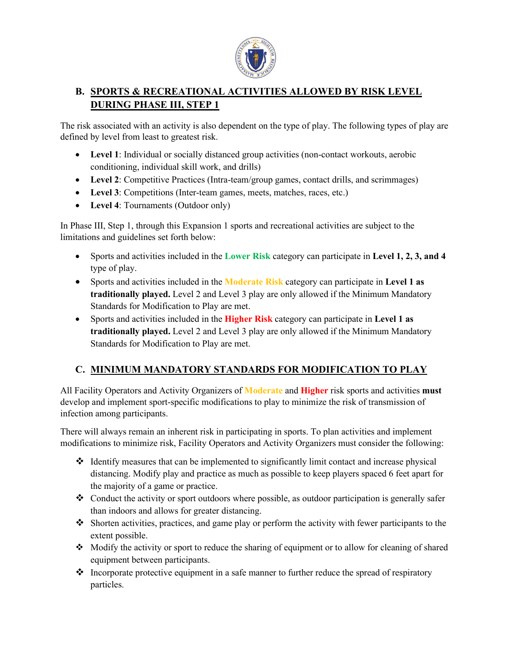

# **B. SPORTS & RECREATIONAL ACTIVITIES ALLOWED BY RISK LEVEL DURING PHASE III, STEP 1**

The risk associated with an activity is also dependent on the type of play. The following types of play are defined by level from least to greatest risk.

- **Level 1**: Individual or socially distanced group activities (non-contact workouts, aerobic conditioning, individual skill work, and drills)
- **Level 2**: Competitive Practices (Intra-team/group games, contact drills, and scrimmages)
- **Level 3**: Competitions (Inter-team games, meets, matches, races, etc.)
- **Level 4**: Tournaments (Outdoor only)

In Phase III, Step 1, through this Expansion 1 sports and recreational activities are subject to the limitations and guidelines set forth below:

- Sports and activities included in the **Lower Risk** category can participate in **Level 1, 2, 3, and 4**  type of play.
- Sports and activities included in the **Moderate Risk** category can participate in **Level 1 as traditionally played.** Level 2 and Level 3 play are only allowed if the Minimum Mandatory Standards for Modification to Play are met.
- Sports and activities included in the **Higher Risk** category can participate in **Level 1 as traditionally played.** Level 2 and Level 3 play are only allowed if the Minimum Mandatory Standards for Modification to Play are met.

# **C. MINIMUM MANDATORY STANDARDS FOR MODIFICATION TO PLAY**

All Facility Operators and Activity Organizers of **Moderate** and **Higher** risk sports and activities **must** develop and implement sport-specific modifications to play to minimize the risk of transmission of infection among participants.

There will always remain an inherent risk in participating in sports. To plan activities and implement modifications to minimize risk, Facility Operators and Activity Organizers must consider the following:

- $\div$  Identify measures that can be implemented to significantly limit contact and increase physical distancing. Modify play and practice as much as possible to keep players spaced 6 feet apart for the majority of a game or practice.
- $\bullet$  Conduct the activity or sport outdoors where possible, as outdoor participation is generally safer than indoors and allows for greater distancing.
- Shorten activities, practices, and game play or perform the activity with fewer participants to the extent possible.
- Modify the activity or sport to reduce the sharing of equipment or to allow for cleaning of shared equipment between participants.
- $\triangleleft$  Incorporate protective equipment in a safe manner to further reduce the spread of respiratory particles.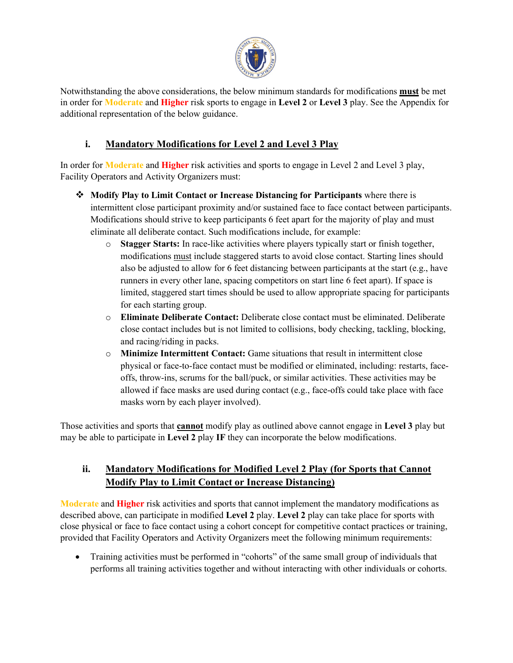

Notwithstanding the above considerations, the below minimum standards for modifications **must** be met in order for **Moderate** and **Higher** risk sports to engage in **Level 2** or **Level 3** play. See the Appendix for additional representation of the below guidance.

# **i. Mandatory Modifications for Level 2 and Level 3 Play**

In order for **Moderate** and **Higher** risk activities and sports to engage in Level 2 and Level 3 play, Facility Operators and Activity Organizers must:

- **Modify Play to Limit Contact or Increase Distancing for Participants** where there is intermittent close participant proximity and/or sustained face to face contact between participants. Modifications should strive to keep participants 6 feet apart for the majority of play and must eliminate all deliberate contact. Such modifications include, for example:
	- o **Stagger Starts:** In race-like activities where players typically start or finish together, modifications must include staggered starts to avoid close contact. Starting lines should also be adjusted to allow for 6 feet distancing between participants at the start (e.g., have runners in every other lane, spacing competitors on start line 6 feet apart). If space is limited, staggered start times should be used to allow appropriate spacing for participants for each starting group.
	- o **Eliminate Deliberate Contact:** Deliberate close contact must be eliminated. Deliberate close contact includes but is not limited to collisions, body checking, tackling, blocking, and racing/riding in packs.
	- o **Minimize Intermittent Contact:** Game situations that result in intermittent close physical or face-to-face contact must be modified or eliminated, including: restarts, faceoffs, throw-ins, scrums for the ball/puck, or similar activities. These activities may be allowed if face masks are used during contact (e.g., face-offs could take place with face masks worn by each player involved).

Those activities and sports that **cannot** modify play as outlined above cannot engage in **Level 3** play but may be able to participate in **Level 2** play **IF** they can incorporate the below modifications.

# **ii. Mandatory Modifications for Modified Level 2 Play (for Sports that Cannot Modify Play to Limit Contact or Increase Distancing)**

**Moderate** and **Higher** risk activities and sports that cannot implement the mandatory modifications as described above, can participate in modified **Level 2** play. **Level 2** play can take place for sports with close physical or face to face contact using a cohort concept for competitive contact practices or training, provided that Facility Operators and Activity Organizers meet the following minimum requirements:

• Training activities must be performed in "cohorts" of the same small group of individuals that performs all training activities together and without interacting with other individuals or cohorts.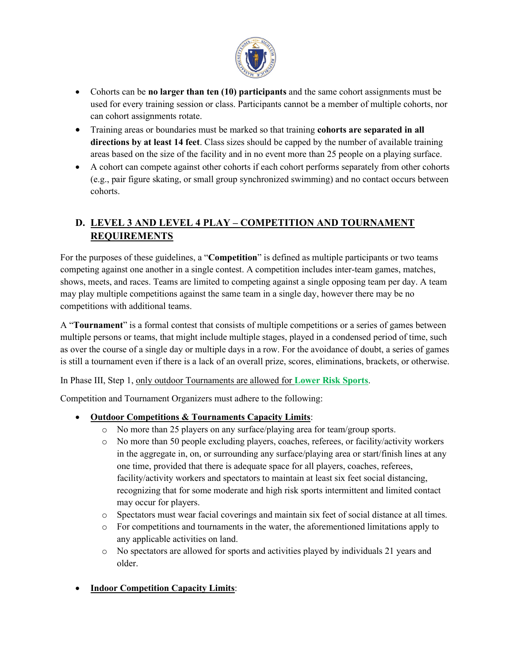

- Cohorts can be **no larger than ten (10) participants** and the same cohort assignments must be used for every training session or class. Participants cannot be a member of multiple cohorts, nor can cohort assignments rotate.
- Training areas or boundaries must be marked so that training **cohorts are separated in all directions by at least 14 feet**. Class sizes should be capped by the number of available training areas based on the size of the facility and in no event more than 25 people on a playing surface.
- A cohort can compete against other cohorts if each cohort performs separately from other cohorts (e.g., pair figure skating, or small group synchronized swimming) and no contact occurs between cohorts.

# **D. LEVEL 3 AND LEVEL 4 PLAY – COMPETITION AND TOURNAMENT REQUIREMENTS**

For the purposes of these guidelines, a "**Competition**" is defined as multiple participants or two teams competing against one another in a single contest. A competition includes inter-team games, matches, shows, meets, and races. Teams are limited to competing against a single opposing team per day. A team may play multiple competitions against the same team in a single day, however there may be no competitions with additional teams.

A "**Tournament**" is a formal contest that consists of multiple competitions or a series of games between multiple persons or teams, that might include multiple stages, played in a condensed period of time, such as over the course of a single day or multiple days in a row. For the avoidance of doubt, a series of games is still a tournament even if there is a lack of an overall prize, scores, eliminations, brackets, or otherwise.

In Phase III, Step 1, only outdoor Tournaments are allowed for **Lower Risk Sports**.

Competition and Tournament Organizers must adhere to the following:

- **Outdoor Competitions & Tournaments Capacity Limits**:
	- o No more than 25 players on any surface/playing area for team/group sports.
	- o No more than 50 people excluding players, coaches, referees, or facility/activity workers in the aggregate in, on, or surrounding any surface/playing area or start/finish lines at any one time, provided that there is adequate space for all players, coaches, referees, facility/activity workers and spectators to maintain at least six feet social distancing, recognizing that for some moderate and high risk sports intermittent and limited contact may occur for players.
	- o Spectators must wear facial coverings and maintain six feet of social distance at all times.
	- $\circ$  For competitions and tournaments in the water, the aforementioned limitations apply to any applicable activities on land.
	- o No spectators are allowed for sports and activities played by individuals 21 years and older.
- **Indoor Competition Capacity Limits**: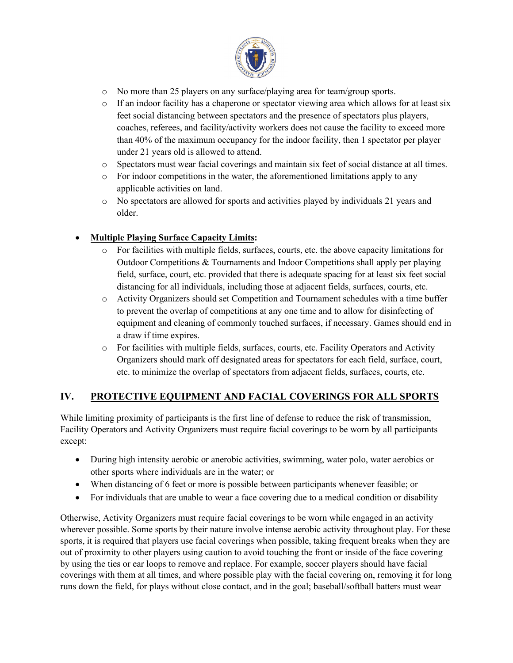

- o No more than 25 players on any surface/playing area for team/group sports.
- $\circ$  If an indoor facility has a chaperone or spectator viewing area which allows for at least six feet social distancing between spectators and the presence of spectators plus players, coaches, referees, and facility/activity workers does not cause the facility to exceed more than 40% of the maximum occupancy for the indoor facility, then 1 spectator per player under 21 years old is allowed to attend.
- o Spectators must wear facial coverings and maintain six feet of social distance at all times.
- $\circ$  For indoor competitions in the water, the aforementioned limitations apply to any applicable activities on land.
- o No spectators are allowed for sports and activities played by individuals 21 years and older.

## • **Multiple Playing Surface Capacity Limits:**

- o For facilities with multiple fields, surfaces, courts, etc. the above capacity limitations for Outdoor Competitions & Tournaments and Indoor Competitions shall apply per playing field, surface, court, etc. provided that there is adequate spacing for at least six feet social distancing for all individuals, including those at adjacent fields, surfaces, courts, etc.
- o Activity Organizers should set Competition and Tournament schedules with a time buffer to prevent the overlap of competitions at any one time and to allow for disinfecting of equipment and cleaning of commonly touched surfaces, if necessary. Games should end in a draw if time expires.
- o For facilities with multiple fields, surfaces, courts, etc. Facility Operators and Activity Organizers should mark off designated areas for spectators for each field, surface, court, etc. to minimize the overlap of spectators from adjacent fields, surfaces, courts, etc.

# **IV. PROTECTIVE EQUIPMENT AND FACIAL COVERINGS FOR ALL SPORTS**

While limiting proximity of participants is the first line of defense to reduce the risk of transmission, Facility Operators and Activity Organizers must require facial coverings to be worn by all participants except:

- During high intensity aerobic or anerobic activities, swimming, water polo, water aerobics or other sports where individuals are in the water; or
- When distancing of 6 feet or more is possible between participants whenever feasible; or
- For individuals that are unable to wear a face covering due to a medical condition or disability

Otherwise, Activity Organizers must require facial coverings to be worn while engaged in an activity wherever possible. Some sports by their nature involve intense aerobic activity throughout play. For these sports, it is required that players use facial coverings when possible, taking frequent breaks when they are out of proximity to other players using caution to avoid touching the front or inside of the face covering by using the ties or ear loops to remove and replace. For example, soccer players should have facial coverings with them at all times, and where possible play with the facial covering on, removing it for long runs down the field, for plays without close contact, and in the goal; baseball/softball batters must wear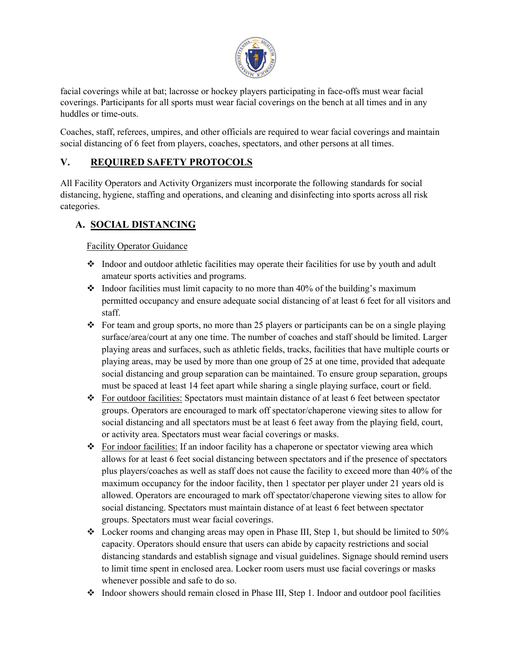

facial coverings while at bat; lacrosse or hockey players participating in face-offs must wear facial coverings. Participants for all sports must wear facial coverings on the bench at all times and in any huddles or time-outs.

Coaches, staff, referees, umpires, and other officials are required to wear facial coverings and maintain social distancing of 6 feet from players, coaches, spectators, and other persons at all times.

## **V. REQUIRED SAFETY PROTOCOLS**

All Facility Operators and Activity Organizers must incorporate the following standards for social distancing, hygiene, staffing and operations, and cleaning and disinfecting into sports across all risk categories.

# **A. SOCIAL DISTANCING**

Facility Operator Guidance

- Indoor and outdoor athletic facilities may operate their facilities for use by youth and adult amateur sports activities and programs.
- $\cdot$  Indoor facilities must limit capacity to no more than 40% of the building's maximum permitted occupancy and ensure adequate social distancing of at least 6 feet for all visitors and staff.
- For team and group sports, no more than 25 players or participants can be on a single playing surface/area/court at any one time. The number of coaches and staff should be limited. Larger playing areas and surfaces, such as athletic fields, tracks, facilities that have multiple courts or playing areas, may be used by more than one group of 25 at one time, provided that adequate social distancing and group separation can be maintained. To ensure group separation, groups must be spaced at least 14 feet apart while sharing a single playing surface, court or field.
- $\div$  For outdoor facilities: Spectators must maintain distance of at least 6 feet between spectator groups. Operators are encouraged to mark off spectator/chaperone viewing sites to allow for social distancing and all spectators must be at least 6 feet away from the playing field, court, or activity area. Spectators must wear facial coverings or masks.
- For indoor facilities: If an indoor facility has a chaperone or spectator viewing area which allows for at least 6 feet social distancing between spectators and if the presence of spectators plus players/coaches as well as staff does not cause the facility to exceed more than 40% of the maximum occupancy for the indoor facility, then 1 spectator per player under 21 years old is allowed. Operators are encouraged to mark off spectator/chaperone viewing sites to allow for social distancing. Spectators must maintain distance of at least 6 feet between spectator groups. Spectators must wear facial coverings.
- Locker rooms and changing areas may open in Phase III, Step 1, but should be limited to 50% capacity. Operators should ensure that users can abide by capacity restrictions and social distancing standards and establish signage and visual guidelines. Signage should remind users to limit time spent in enclosed area. Locker room users must use facial coverings or masks whenever possible and safe to do so.
- $\div$  Indoor showers should remain closed in Phase III, Step 1. Indoor and outdoor pool facilities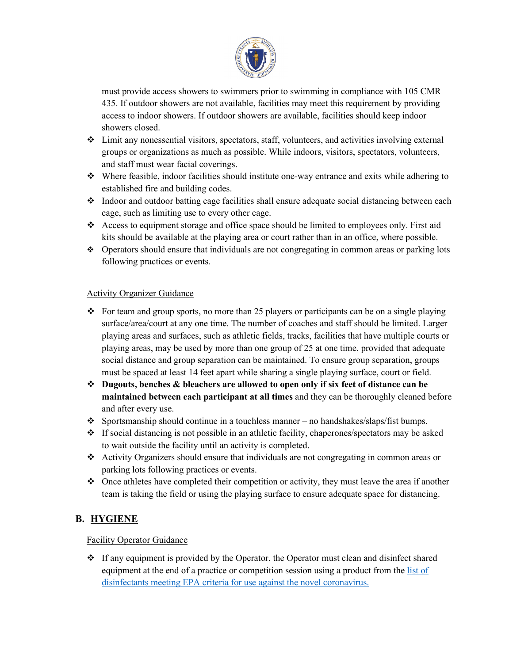

must provide access showers to swimmers prior to swimming in compliance with 105 CMR 435. If outdoor showers are not available, facilities may meet this requirement by providing access to indoor showers. If outdoor showers are available, facilities should keep indoor showers closed.

- $\div$  Limit any nonessential visitors, spectators, staff, volunteers, and activities involving external groups or organizations as much as possible. While indoors, visitors, spectators, volunteers, and staff must wear facial coverings.
- $\bullet$  Where feasible, indoor facilities should institute one-way entrance and exits while adhering to established fire and building codes.
- $\div$  Indoor and outdoor batting cage facilities shall ensure adequate social distancing between each cage, such as limiting use to every other cage.
- $\triangle$  Access to equipment storage and office space should be limited to employees only. First aid kits should be available at the playing area or court rather than in an office, where possible.
- Operators should ensure that individuals are not congregating in common areas or parking lots following practices or events.

#### Activity Organizer Guidance

- For team and group sports, no more than 25 players or participants can be on a single playing surface/area/court at any one time. The number of coaches and staff should be limited. Larger playing areas and surfaces, such as athletic fields, tracks, facilities that have multiple courts or playing areas, may be used by more than one group of 25 at one time, provided that adequate social distance and group separation can be maintained. To ensure group separation, groups must be spaced at least 14 feet apart while sharing a single playing surface, court or field.
- **Dugouts, benches & bleachers are allowed to open only if six feet of distance can be maintained between each participant at all times** and they can be thoroughly cleaned before and after every use.
- Sportsmanship should continue in a touchless manner no handshakes/slaps/fist bumps.
- $\div$  If social distancing is not possible in an athletic facility, chaperones/spectators may be asked to wait outside the facility until an activity is completed.
- Activity Organizers should ensure that individuals are not congregating in common areas or parking lots following practices or events.
- $\bullet$  Once athletes have completed their competition or activity, they must leave the area if another team is taking the field or using the playing surface to ensure adequate space for distancing.

## **B. HYGIENE**

## Facility Operator Guidance

 $\div$  If any equipment is provided by the Operator, the Operator must clean and disinfect shared equipment at the end of a practice or competition session using a product from the list of [disinfectants meeting EPA criteria for use against the novel coronavirus.](https://www.epa.gov/pesticide-registration/list-n-disinfectants-use-against-sars-cov-2)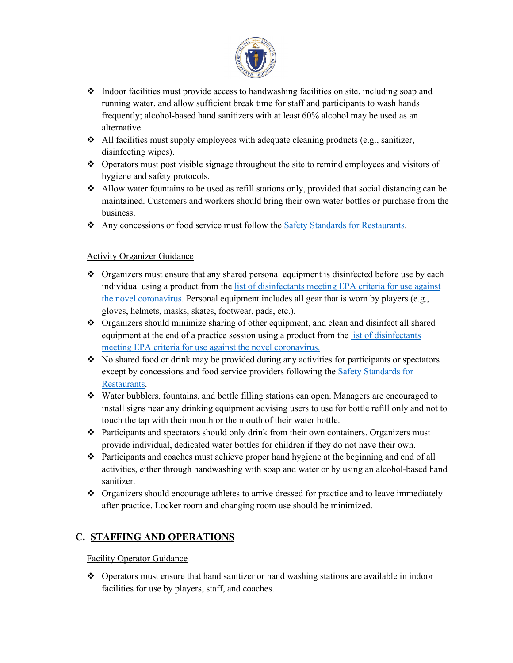

- $\bullet$  Indoor facilities must provide access to handwashing facilities on site, including soap and running water, and allow sufficient break time for staff and participants to wash hands frequently; alcohol-based hand sanitizers with at least 60% alcohol may be used as an alternative.
- $\triangleleft$  All facilities must supply employees with adequate cleaning products (e.g., sanitizer, disinfecting wipes).
- $\bullet$  Operators must post visible signage throughout the site to remind employees and visitors of hygiene and safety protocols.
- Allow water fountains to be used as refill stations only, provided that social distancing can be maintained. Customers and workers should bring their own water bottles or purchase from the business.
- Any concessions or food service must follow the [Safety Standards for Restaurants.](https://www.mass.gov/info-details/safety-standards-and-checklist-restaurants)

## Activity Organizer Guidance

- $\bullet$  Organizers must ensure that any shared personal equipment is disinfected before use by each individual using a product from th[e list of disinfectants meeting EPA criteria for use against](https://www.epa.gov/pesticide-registration/list-n-disinfectants-use-against-sars-cov-2)  [the novel coronavirus.](https://www.epa.gov/pesticide-registration/list-n-disinfectants-use-against-sars-cov-2) Personal equipment includes all gear that is worn by players (e.g., gloves, helmets, masks, skates, footwear, pads, etc.).
- Organizers should minimize sharing of other equipment, and clean and disinfect all shared equipment at the end of a practice session using a product from th[e list of disinfectants](https://www.epa.gov/pesticide-registration/list-n-disinfectants-use-against-sars-cov-2)  [meeting EPA criteria for use against the novel coronavirus.](https://www.epa.gov/pesticide-registration/list-n-disinfectants-use-against-sars-cov-2)
- No shared food or drink may be provided during any activities for participants or spectators except by concessions and food service providers following the [Safety Standards for](https://www.mass.gov/info-details/safety-standards-and-checklist-restaurants)  [Restaurants.](https://www.mass.gov/info-details/safety-standards-and-checklist-restaurants)
- Water bubblers, fountains, and bottle filling stations can open. Managers are encouraged to install signs near any drinking equipment advising users to use for bottle refill only and not to touch the tap with their mouth or the mouth of their water bottle.
- $\hat{\cdot}$  Participants and spectators should only drink from their own containers. Organizers must provide individual, dedicated water bottles for children if they do not have their own.
- $\bullet$  Participants and coaches must achieve proper hand hygiene at the beginning and end of all activities, either through handwashing with soap and water or by using an alcohol-based hand sanitizer.
- $\bullet$  Organizers should encourage athletes to arrive dressed for practice and to leave immediately after practice. Locker room and changing room use should be minimized.

# **C. STAFFING AND OPERATIONS**

Facility Operator Guidance

 $\bullet$  Operators must ensure that hand sanitizer or hand washing stations are available in indoor facilities for use by players, staff, and coaches.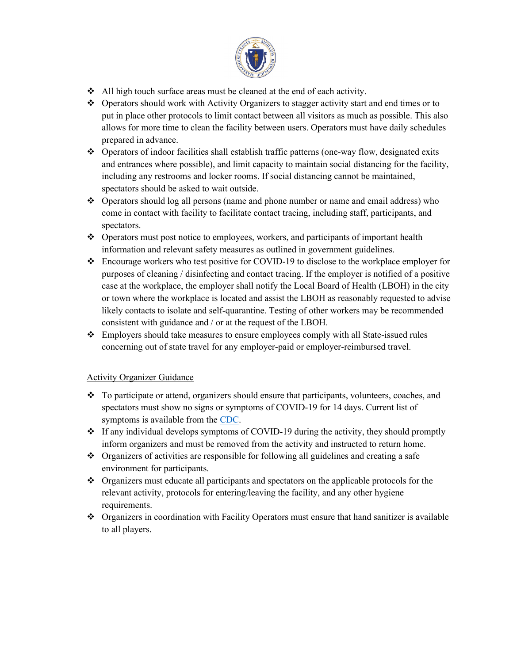

- $\triangleleft$  All high touch surface areas must be cleaned at the end of each activity.
- Operators should work with Activity Organizers to stagger activity start and end times or to put in place other protocols to limit contact between all visitors as much as possible. This also allows for more time to clean the facility between users. Operators must have daily schedules prepared in advance.
- Operators of indoor facilities shall establish traffic patterns (one-way flow, designated exits and entrances where possible), and limit capacity to maintain social distancing for the facility, including any restrooms and locker rooms. If social distancing cannot be maintained, spectators should be asked to wait outside.
- $\div$  Operators should log all persons (name and phone number or name and email address) who come in contact with facility to facilitate contact tracing, including staff, participants, and spectators.
- $\triangle$  Operators must post notice to employees, workers, and participants of important health information and relevant safety measures as outlined in government guidelines.
- Encourage workers who test positive for COVID-19 to disclose to the workplace employer for purposes of cleaning / disinfecting and contact tracing. If the employer is notified of a positive case at the workplace, the employer shall notify the Local Board of Health (LBOH) in the city or town where the workplace is located and assist the LBOH as reasonably requested to advise likely contacts to isolate and self-quarantine. Testing of other workers may be recommended consistent with guidance and / or at the request of the LBOH.
- $\triangle$  Employers should take measures to ensure employees comply with all State-issued rules concerning out of state travel for any employer-paid or employer-reimbursed travel.

## Activity Organizer Guidance

- $\div$  To participate or attend, organizers should ensure that participants, volunteers, coaches, and spectators must show no signs or symptoms of COVID-19 for 14 days. Current list of symptoms is available from the [CDC.](https://www.cdc.gov/coronavirus/2019-ncov/symptoms-testing/symptoms.html)
- $\div$  If any individual develops symptoms of COVID-19 during the activity, they should promptly inform organizers and must be removed from the activity and instructed to return home.
- Organizers of activities are responsible for following all guidelines and creating a safe environment for participants.
- Organizers must educate all participants and spectators on the applicable protocols for the relevant activity, protocols for entering/leaving the facility, and any other hygiene requirements.
- $\bullet$  Organizers in coordination with Facility Operators must ensure that hand sanitizer is available to all players.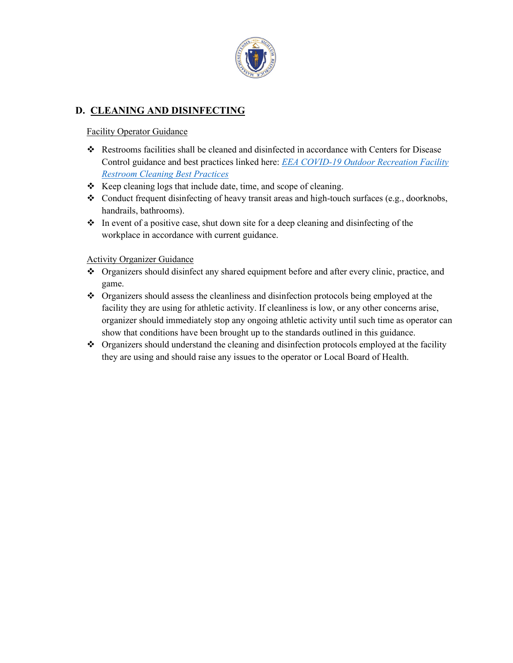

# **D. CLEANING AND DISINFECTING**

## Facility Operator Guidance

- $\div$  Restrooms facilities shall be cleaned and disinfected in accordance with Centers for Disease Control guidance and best practices linked here: *[EEA COVID-19 Outdoor Recreation Facility](https://www.mass.gov/doc/eea-covid-19-cleaning-of-restrooms-best-practices-5-18-20/download)  [Restroom Cleaning Best Practices](https://www.mass.gov/doc/eea-covid-19-cleaning-of-restrooms-best-practices-5-18-20/download)*
- $\triangleleft$  Keep cleaning logs that include date, time, and scope of cleaning.
- \* Conduct frequent disinfecting of heavy transit areas and high-touch surfaces (e.g., doorknobs, handrails, bathrooms).
- $\bullet$  In event of a positive case, shut down site for a deep cleaning and disinfecting of the workplace in accordance with current guidance.

## Activity Organizer Guidance

- Organizers should disinfect any shared equipment before and after every clinic, practice, and game.
- Organizers should assess the cleanliness and disinfection protocols being employed at the facility they are using for athletic activity. If cleanliness is low, or any other concerns arise, organizer should immediately stop any ongoing athletic activity until such time as operator can show that conditions have been brought up to the standards outlined in this guidance.
- Organizers should understand the cleaning and disinfection protocols employed at the facility they are using and should raise any issues to the operator or Local Board of Health.